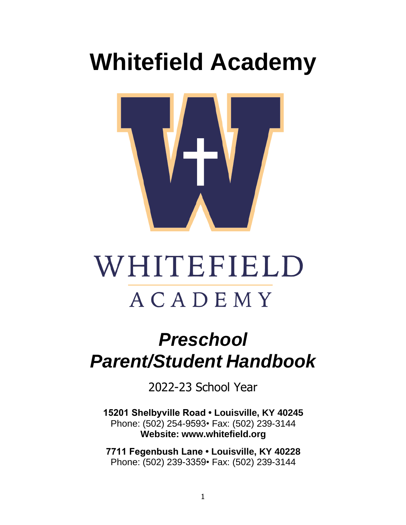# **Whitefield Academy**



# WHITEFIELD ACADEMY

# *Preschool Parent/Student Handbook*

2022-23 School Year

**15201 Shelbyville Road • Louisville, KY 40245** Phone: (502) 254-9593• Fax: (502) 239-3144 **Website: [www.whitefield.org](http://www.whitefield.org/)**

**7711 Fegenbush Lane • Louisville, KY 40228** Phone: (502) 239-3359• Fax: (502) 239-3144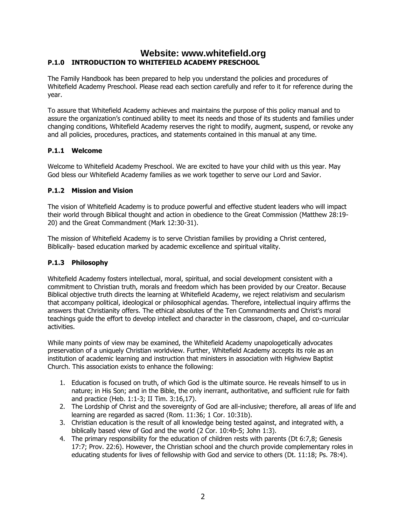## **Website: [www.whitefield.org](http://www.whitefield.org/) P.1.0 INTRODUCTION TO WHITEFIELD ACADEMY PRESCHOOL**

The Family Handbook has been prepared to help you understand the policies and procedures of Whitefield Academy Preschool. Please read each section carefully and refer to it for reference during the year.

To assure that Whitefield Academy achieves and maintains the purpose of this policy manual and to assure the organization's continued ability to meet its needs and those of its students and families under changing conditions, Whitefield Academy reserves the right to modify, augment, suspend, or revoke any and all policies, procedures, practices, and statements contained in this manual at any time.

#### **P.1.1 Welcome**

Welcome to Whitefield Academy Preschool. We are excited to have your child with us this year. May God bless our Whitefield Academy families as we work together to serve our Lord and Savior.

#### **P.1.2 Mission and Vision**

The vision of Whitefield Academy is to produce powerful and effective student leaders who will impact their world through Biblical thought and action in obedience to the Great Commission (Matthew 28:19- 20) and the Great Commandment (Mark 12:30-31).

The mission of Whitefield Academy is to serve Christian families by providing a Christ centered, Biblically- based education marked by academic excellence and spiritual vitality.

#### **P.1.3 Philosophy**

Whitefield Academy fosters intellectual, moral, spiritual, and social development consistent with a commitment to Christian truth, morals and freedom which has been provided by our Creator. Because Biblical objective truth directs the learning at Whitefield Academy, we reject relativism and secularism that accompany political, ideological or philosophical agendas. Therefore, intellectual inquiry affirms the answers that Christianity offers. The ethical absolutes of the Ten Commandments and Christ's moral teachings guide the effort to develop intellect and character in the classroom, chapel, and co-curricular activities.

While many points of view may be examined, the Whitefield Academy unapologetically advocates preservation of a uniquely Christian worldview. Further, Whitefield Academy accepts its role as an institution of academic learning and instruction that ministers in association with Highview Baptist Church. This association exists to enhance the following:

- 1. Education is focused on truth, of which God is the ultimate source. He reveals himself to us in nature; in His Son; and in the Bible, the only inerrant, authoritative, and sufficient rule for faith and practice (Heb. 1:1-3; II Tim. 3:16,17).
- 2. The Lordship of Christ and the sovereignty of God are all-inclusive; therefore, all areas of life and learning are regarded as sacred (Rom. 11:36; 1 Cor. 10:31b).
- 3. Christian education is the result of all knowledge being tested against, and integrated with, a biblically based view of God and the world (2 Cor. 10:4b-5; John 1:3).
- 4. The primary responsibility for the education of children rests with parents (Dt 6:7,8; Genesis 17:7; Prov. 22:6). However, the Christian school and the church provide complementary roles in educating students for lives of fellowship with God and service to others (Dt. 11:18; Ps. 78:4).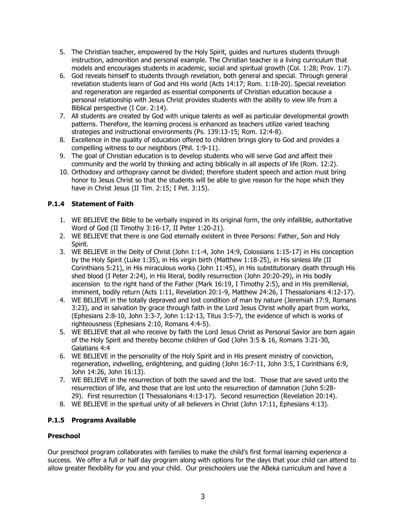- 5. The Christian teacher, empowered by the Holy Spirit, guides and nurtures students through instruction, admonition and personal example. The Christian teacher is a living curriculum that models and encourages students in academic, social and spiritual growth (Col. 1:28; Prov. 1:7).
- 6. God reveals himself to students through revelation, both general and special. Through general revelation students learn of God and His world (Acts 14:17; Rom. 1:18-20). Special revelation and regeneration are regarded as essential components of Christian education because a personal relationship with Jesus Christ provides students with the ability to view life from a Biblical perspective (I Cor. 2:14).
- 7. All students are created by God with unique talents as well as particular developmental growth patterns. Therefore, the learning process is enhanced as teachers utilize varied teaching strategies and instructional environments (Ps. 139:13-15; Rom. 12:4-8).
- 8. Excellence in the quality of education offered to children brings glory to God and provides a compelling witness to our neighbors (Phil. 1:9-11).
- 9. The goal of Christian education is to develop students who will serve God and affect their community and the world by thinking and acting biblically in all aspects of life (Rom. 12:2).
- 10. Orthodoxy and orthopraxy cannot be divided; therefore student speech and action must bring honor to Jesus Christ so that the students will be able to give reason for the hope which they have in Christ Jesus (II Tim. 2:15; I Pet. 3:15).

### **P.1.4 Statement of Faith**

- 1. WE BELIEVE the Bible to be verbally inspired in its original form, the only infallible, authoritative Word of God (II Timothy 3:16-17, II Peter 1:20-21).
- 2. WE BELIEVE that there is one God eternally existent in three Persons: Father, Son and Holy Spirit.
- 3. WE BELIEVE in the Deity of Christ (John 1:1-4, John 14:9, Colossians 1:15-17) in His conception by the Holy Spirit (Luke 1:35), in His virgin birth (Matthew 1:18-25), in His sinless life (II Corinthians 5:21), in His miraculous works (John 11:45), in His substitutionary death through His shed blood (I Peter 2:24), in His literal, bodily resurrection (John 20:20-29), in His bodily ascension to the right hand of the Father (Mark 16:19, I Timothy 2:5), and in His premillenial, imminent, bodily return (Acts 1:11, Revelation 20:1-9, Matthew 24:26, I Thessalonians 4:12-17).
- 4. WE BELIEVE in the totally depraved and lost condition of man by nature (Jeremiah 17:9, Romans 3:23), and in salvation by grace through faith in the Lord Jesus Christ wholly apart from works, (Ephesians 2:8-10, John 3:3-7, John 1:12-13, Titus 3:5-7), the evidence of which is works of righteousness (Ephesians 2:10, Romans 4:4-5).
- 5. WE BELIEVE that all who receive by faith the Lord Jesus Christ as Personal Savior are born again of the Holy Spirit and thereby become children of God (John 3:5 & 16, Romans 3:21-30, Galatians 4:4
- 6. WE BELIEVE in the personality of the Holy Spirit and in His present ministry of conviction, regeneration, indwelling, enlightening, and guiding (John 16:7-11, John 3:5, I Corinthians 6:9, John 14:26, John 16:13).
- 7. WE BELIEVE in the resurrection of both the saved and the lost. Those that are saved unto the resurrection of life, and those that are lost unto the resurrection of damnation (John 5:28- 29). First resurrection (I Thessalonians 4:13-17). Second resurrection (Revelation 20:14).
- 8. WE BELIEVE in the spiritual unity of all believers in Christ (John 17:11, Ephesians 4:13).

#### **P.1.5 Programs Available**

#### **Preschool**

Our preschool program collaborates with families to make the child's first formal learning experience a success. We offer a full or half day program along with options for the days that your child can attend to allow greater flexibility for you and your child. Our preschoolers use the ABeka curriculum and have a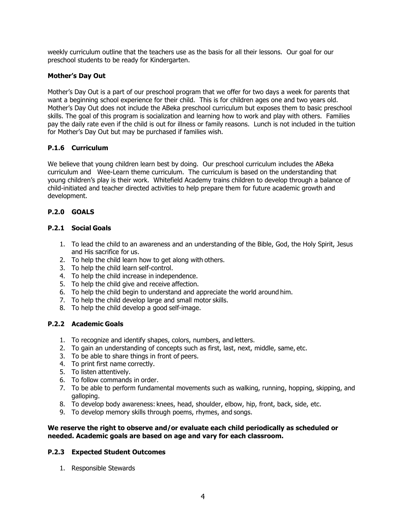weekly curriculum outline that the teachers use as the basis for all their lessons. Our goal for our preschool students to be ready for Kindergarten.

#### **Mother's Day Out**

Mother's Day Out is a part of our preschool program that we offer for two days a week for parents that want a beginning school experience for their child. This is for children ages one and two years old. Mother's Day Out does not include the ABeka preschool curriculum but exposes them to basic preschool skills. The goal of this program is socialization and learning how to work and play with others. Families pay the daily rate even if the child is out for illness or family reasons. Lunch is not included in the tuition for Mother's Day Out but may be purchased if families wish.

#### **P.1.6 Curriculum**

We believe that young children learn best by doing. Our preschool curriculum includes the ABeka curriculum and Wee-Learn theme curriculum. The curriculum is based on the understanding that young children's play is their work. Whitefield Academy trains children to develop through a balance of child-initiated and teacher directed activities to help prepare them for future academic growth and development.

#### **P.2.0 GOALS**

#### **P.2.1 Social Goals**

- 1. To lead the child to an awareness and an understanding of the Bible, God, the Holy Spirit, Jesus and His sacrifice for us.
- 2. To help the child learn how to get along with others.
- 3. To help the child learn self-control.
- 4. To help the child increase in independence.
- 5. To help the child give and receive affection.
- 6. To help the child begin to understand and appreciate the world around him.
- 7. To help the child develop large and small motor skills.
- 8. To help the child develop a good self-image.

#### **P.2.2 Academic Goals**

- 1. To recognize and identify shapes, colors, numbers, and letters.
- 2. To gain an understanding of concepts such as first, last, next, middle, same, etc.
- 3. To be able to share things in front of peers.
- 4. To print first name correctly.
- 5. To listen attentively.
- 6. To follow commands in order.
- 7. To be able to perform fundamental movements such as walking, running, hopping, skipping, and galloping.
- 8. To develop body awareness: knees, head, shoulder, elbow, hip, front, back, side, etc.
- 9. To develop memory skills through poems, rhymes, and songs.

#### **We reserve the right to observe and/or evaluate each child periodically as scheduled or needed. Academic goals are based on age and vary for each classroom.**

#### **P.2.3 Expected Student Outcomes**

1. Responsible Stewards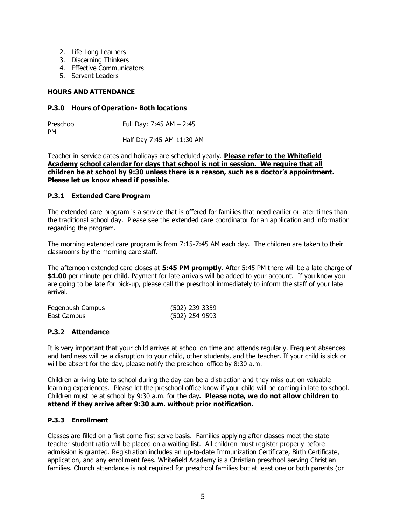- 2. Life-Long Learners
- 3. Discerning Thinkers
- 4. Effective Communicators
- 5. Servant Leaders

#### **HOURS AND ATTENDANCE**

#### **P.3.0 Hours of Operation- Both locations**

Preschool Full Day: 7:45 AM - 2:45 PM Half Day 7:45-AM-11:30 AM

Teacher in-service dates and holidays are scheduled yearly. **Please refer to the Whitefield Academy school calendar for days that school is not in session. We require that all children be at school by 9:30 unless there is a reason, such as a doctor's appointment. Please let us know ahead if possible.**

#### **P.3.1 Extended Care Program**

The extended care program is a service that is offered for families that need earlier or later times than the traditional school day. Please see the extended care coordinator for an application and information regarding the program.

The morning extended care program is from 7:15-7:45 AM each day. The children are taken to their classrooms by the morning care staff.

The afternoon extended care closes at **5:45 PM promptly**. After 5:45 PM there will be a late charge of **\$1.00** per minute per child. Payment for late arrivals will be added to your account. If you know you are going to be late for pick-up, please call the preschool immediately to inform the staff of your late arrival.

| Fegenbush Campus | (502)-239-3359 |
|------------------|----------------|
| East Campus      | (502)-254-9593 |

#### **P.3.2 Attendance**

It is very important that your child arrives at school on time and attends regularly. Frequent absences and tardiness will be a disruption to your child, other students, and the teacher. If your child is sick or will be absent for the day, please notify the preschool office by 8:30 a.m.

Children arriving late to school during the day can be a distraction and they miss out on valuable learning experiences. Please let the preschool office know if your child will be coming in late to school. Children must be at school by 9:30 a.m. for the day**. Please note, we do not allow children to attend if they arrive after 9:30 a.m. without prior notification.** 

#### **P.3.3 Enrollment**

Classes are filled on a first come first serve basis. Families applying after classes meet the state teacher-student ratio will be placed on a waiting list. All children must register properly before admission is granted. Registration includes an up-to-date Immunization Certificate, Birth Certificate, application, and any enrollment fees. Whitefield Academy is a Christian preschool serving Christian families. Church attendance is not required for preschool families but at least one or both parents (or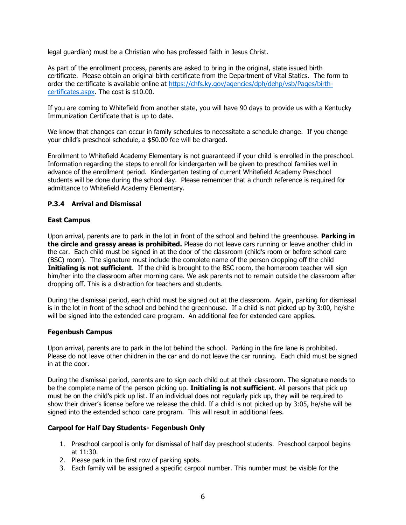legal guardian) must be a Christian who has professed faith in Jesus Christ.

As part of the enrollment process, parents are asked to bring in the original, state issued birth certificate. Please obtain an original birth certificate from the Department of Vital Statics. The form to order the certificate is available online at [https://chfs.ky.gov/agencies/dph/dehp/vsb/Pages/birth](https://chfs.ky.gov/agencies/dph/dehp/vsb/Pages/birth-certificates.aspx)[certificates.aspx.](https://chfs.ky.gov/agencies/dph/dehp/vsb/Pages/birth-certificates.aspx) The cost is \$10.00.

If you are coming to Whitefield from another state, you will have 90 days to provide us with a Kentucky Immunization Certificate that is up to date.

We know that changes can occur in family schedules to necessitate a schedule change. If you change your child's preschool schedule, a \$50.00 fee will be charged.

Enrollment to Whitefield Academy Elementary is not guaranteed if your child is enrolled in the preschool. Information regarding the steps to enroll for kindergarten will be given to preschool families well in advance of the enrollment period. Kindergarten testing of current Whitefield Academy Preschool students will be done during the school day. Please remember that a church reference is required for admittance to Whitefield Academy Elementary.

#### **P.3.4 Arrival and Dismissal**

#### **East Campus**

Upon arrival, parents are to park in the lot in front of the school and behind the greenhouse. **Parking in the circle and grassy areas is prohibited.** Please do not leave cars running or leave another child in the car. Each child must be signed in at the door of the classroom (child's room or before school care (BSC) room). The signature must include the complete name of the person dropping off the child **Initialing is not sufficient**. If the child is brought to the BSC room, the homeroom teacher will sign him/her into the classroom after morning care. We ask parents not to remain outside the classroom after dropping off. This is a distraction for teachers and students.

During the dismissal period, each child must be signed out at the classroom. Again, parking for dismissal is in the lot in front of the school and behind the greenhouse. If a child is not picked up by 3:00, he/she will be signed into the extended care program. An additional fee for extended care applies.

#### **Fegenbush Campus**

Upon arrival, parents are to park in the lot behind the school. Parking in the fire lane is prohibited. Please do not leave other children in the car and do not leave the car running. Each child must be signed in at the door.

During the dismissal period, parents are to sign each child out at their classroom. The signature needs to be the complete name of the person picking up. **Initialing is not sufficient**. All persons that pick up must be on the child's pick up list. If an individual does not regularly pick up, they will be required to show their driver's license before we release the child. If a child is not picked up by 3:05, he/she will be signed into the extended school care program. This will result in additional fees.

#### **Carpool for Half Day Students- Fegenbush Only**

- 1. Preschool carpool is only for dismissal of half day preschool students. Preschool carpool begins at 11:30.
- 2. Please park in the first row of parking spots.
- 3. Each family will be assigned a specific carpool number. This number must be visible for the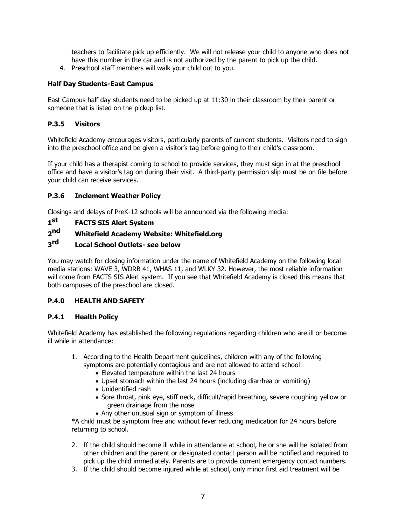teachers to facilitate pick up efficiently. We will not release your child to anyone who does not have this number in the car and is not authorized by the parent to pick up the child.

4. Preschool staff members will walk your child out to you.

#### **Half Day Students-East Campus**

East Campus half day students need to be picked up at 11:30 in their classroom by their parent or someone that is listed on the pickup list.

#### **P.3.5 Visitors**

Whitefield Academy encourages visitors, particularly parents of current students. Visitors need to sign into the preschool office and be given a visitor's tag before going to their child's classroom.

If your child has a therapist coming to school to provide services, they must sign in at the preschool office and have a visitor's tag on during their visit. A third-party permission slip must be on file before your child can receive services.

#### **P.3.6 Inclement Weather Policy**

Closings and delays of PreK-12 schools will be announced via the following media:

#### **1 st FACTS SIS Alert System**

#### $2<sub>0</sub>$ **nd Whitefield Academy Website: Whitefield.org**

#### **3**rd **Local School Outlets- see below**

You may watch for closing information under the name of Whitefield Academy on the following local media stations: WAVE 3, WDRB 41, WHAS 11, and WLKY 32. However, the most reliable information will come from FACTS SIS Alert system. If you see that Whitefield Academy is closed this means that both campuses of the preschool are closed.

#### **P.4.0 HEALTH AND SAFETY**

#### **P.4.1 Health Policy**

Whitefield Academy has established the following regulations regarding children who are ill or become ill while in attendance:

- 1. According to the Health Department guidelines, children with any of the following symptoms are potentially contagious and are not allowed to attend school:
	- Elevated temperature within the last 24 hours
	- Upset stomach within the last 24 hours (including diarrhea or vomiting)
	- Unidentified rash
	- Sore throat, pink eye, stiff neck, difficult/rapid breathing, severe coughing yellow or green drainage from the nose
	- Any other unusual sign or symptom of illness

\*A child must be symptom free and without fever reducing medication for 24 hours before returning to school.

- 2. If the child should become ill while in attendance at school, he or she will be isolated from other children and the parent or designated contact person will be notified and required to pick up the child immediately. Parents are to provide current emergency contact numbers.
- 3. If the child should become injured while at school, only minor first aid treatment will be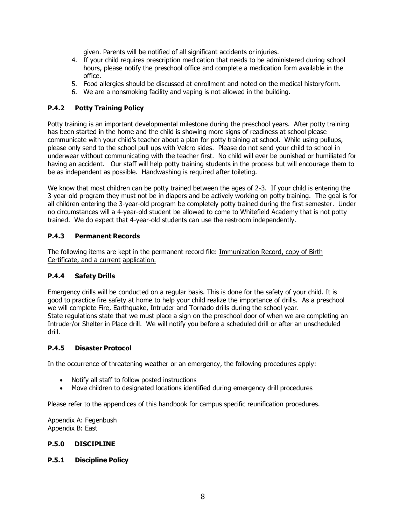given. Parents will be notified of all significant accidents orinjuries.

- 4. If your child requires prescription medication that needs to be administered during school hours, please notify the preschool office and complete a medication form available in the office.
- 5. Food allergies should be discussed at enrollment and noted on the medical history form.
- 6. We are a nonsmoking facility and vaping is not allowed in the building.

#### **P.4.2 Potty Training Policy**

Potty training is an important developmental milestone during the preschool years. After potty training has been started in the home and the child is showing more signs of readiness at school please communicate with your child's teacher about a plan for potty training at school. While using pullups, please only send to the school pull ups with Velcro sides. Please do not send your child to school in underwear without communicating with the teacher first. No child will ever be punished or humiliated for having an accident. Our staff will help potty training students in the process but will encourage them to be as independent as possible. Handwashing is required after toileting.

We know that most children can be potty trained between the ages of 2-3. If your child is entering the 3-year-old program they must not be in diapers and be actively working on potty training. The goal is for all children entering the 3-year-old program be completely potty trained during the first semester. Under no circumstances will a 4-year-old student be allowed to come to Whitefield Academy that is not potty trained. We do expect that 4-year-old students can use the restroom independently.

#### **P.4.3 Permanent Records**

The following items are kept in the permanent record file: Immunization Record, copy of Birth Certificate, and a current application.

#### **P.4.4 Safety Drills**

Emergency drills will be conducted on a regular basis. This is done for the safety of your child. It is good to practice fire safety at home to help your child realize the importance of drills. As a preschool we will complete Fire, Earthquake, Intruder and Tornado drills during the school year. State regulations state that we must place a sign on the preschool door of when we are completing an Intruder/or Shelter in Place drill. We will notify you before a scheduled drill or after an unscheduled drill.

#### **P.4.5 Disaster Protocol**

In the occurrence of threatening weather or an emergency, the following procedures apply:

- Notify all staff to follow posted instructions
- Move children to designated locations identified during emergency drill procedures

Please refer to the appendices of this handbook for campus specific reunification procedures.

Appendix A: Fegenbush Appendix B: East

#### **P.5.0 DISCIPLINE**

#### **P.5.1 Discipline Policy**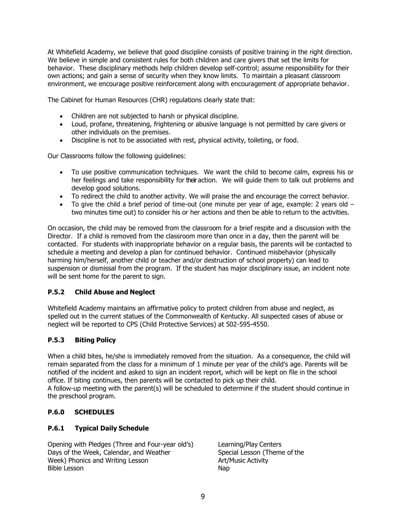At Whitefield Academy, we believe that good discipline consists of positive training in the right direction. We believe in simple and consistent rules for both children and care givers that set the limits for behavior. These disciplinary methods help children develop self-control; assume responsibility for their own actions; and gain a sense of security when they know limits. To maintain a pleasant classroom environment, we encourage positive reinforcement along with encouragement of appropriate behavior.

The Cabinet for Human Resources (CHR) regulations clearly state that:

- Children are not subjected to harsh or physical discipline.
- Loud, profane, threatening, frightening or abusive language is not permitted by care givers or other individuals on the premises.
- Discipline is not to be associated with rest, physical activity, toileting, or food.

Our Classrooms follow the following guidelines:

- To use positive communication techniques. We want the child to become calm, express his or her feelings and take responsibility for their action. We will quide them to talk out problems and develop good solutions.
- To redirect the child to another activity. We will praise the and encourage the correct behavior.
- To give the child a brief period of time-out (one minute per year of age, example: 2 years old  $$ two minutes time out) to consider his or her actions and then be able to return to the activities.

On occasion, the child may be removed from the classroom for a brief respite and a discussion with the Director. If a child is removed from the classroom more than once in a day, then the parent will be contacted. For students with inappropriate behavior on a regular basis, the parents will be contacted to schedule a meeting and develop a plan for continued behavior. Continued misbehavior (physically harming him/herself, another child or teacher and/or destruction of school property) can lead to suspension or dismissal from the program. If the student has major disciplinary issue, an incident note will be sent home for the parent to sign.

#### **P.5.2 Child Abuse and Neglect**

Whitefield Academy maintains an affirmative policy to protect children from abuse and neglect, as spelled out in the current statues of the Commonwealth of Kentucky. All suspected cases of abuse or neglect will be reported to CPS (Child Protective Services) at 502-595-4550.

#### **P.5.3 Biting Policy**

When a child bites, he/she is immediately removed from the situation. As a consequence, the child will remain separated from the class for a minimum of 1 minute per year of the child's age. Parents will be notified of the incident and asked to sign an incident report, which will be kept on file in the school office. If biting continues, then parents will be contacted to pick up their child. A follow-up meeting with the parent(s) will be scheduled to determine if the student should continue in the preschool program.

#### **P.6.0 SCHEDULES**

#### **P.6.1 Typical Daily Schedule**

Opening with Pledges (Three and Four-year old's) Learning/Play Centers Days of the Week, Calendar, and Weather Special Lesson (Theme of the Week) Phonics and Writing Lesson Art/Music Activity Bible Lesson Nap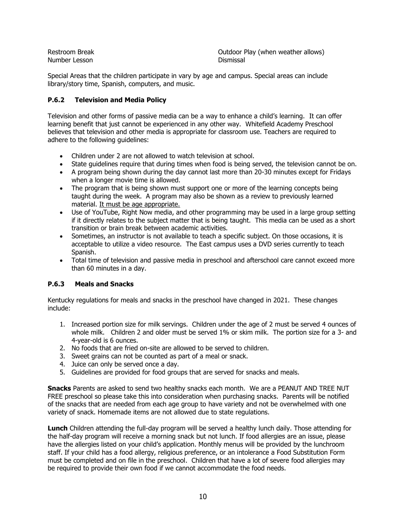| <b>Restroom Break</b> | Outdoor Play (when weather allows) |
|-----------------------|------------------------------------|
| Number Lesson         | Dismissal                          |

Special Areas that the children participate in vary by age and campus. Special areas can include library/story time, Spanish, computers, and music.

#### **P.6.2 Television and Media Policy**

Television and other forms of passive media can be a way to enhance a child's learning. It can offer learning benefit that just cannot be experienced in any other way. Whitefield Academy Preschool believes that television and other media is appropriate for classroom use. Teachers are required to adhere to the following quidelines:

- Children under 2 are not allowed to watch television at school.
- State guidelines require that during times when food is being served, the television cannot be on.
- A program being shown during the day cannot last more than 20-30 minutes except for Fridays when a longer movie time is allowed.
- The program that is being shown must support one or more of the learning concepts being taught during the week. A program may also be shown as a review to previously learned material. It must be age appropriate.
- Use of YouTube, Right Now media, and other programming may be used in a large group setting if it directly relates to the subject matter that is being taught. This media can be used as a short transition or brain break between academic activities.
- Sometimes, an instructor is not available to teach a specific subject. On those occasions, it is acceptable to utilize a video resource. The East campus uses a DVD series currently to teach Spanish.
- Total time of television and passive media in preschool and afterschool care cannot exceed more than 60 minutes in a day.

#### **P.6.3 Meals and Snacks**

Kentucky regulations for meals and snacks in the preschool have changed in 2021. These changes include:

- 1. Increased portion size for milk servings. Children under the age of 2 must be served 4 ounces of whole milk. Children 2 and older must be served 1% or skim milk. The portion size for a 3- and 4-year-old is 6 ounces.
- 2. No foods that are fried on-site are allowed to be served to children.
- 3. Sweet grains can not be counted as part of a meal or snack.
- 4. Juice can only be served once a day.
- 5. Guidelines are provided for food groups that are served for snacks and meals.

**Snacks** Parents are asked to send two healthy snacks each month. We are a PEANUT AND TREE NUT FREE preschool so please take this into consideration when purchasing snacks. Parents will be notified of the snacks that are needed from each age group to have variety and not be overwhelmed with one variety of snack. Homemade items are not allowed due to state regulations.

**Lunch** Children attending the full-day program will be served a healthy lunch daily. Those attending for the half-day program will receive a morning snack but not lunch. If food allergies are an issue, please have the allergies listed on your child's application. Monthly menus will be provided by the lunchroom staff. If your child has a food allergy, religious preference, or an intolerance a Food Substitution Form must be completed and on file in the preschool. Children that have a lot of severe food allergies may be required to provide their own food if we cannot accommodate the food needs.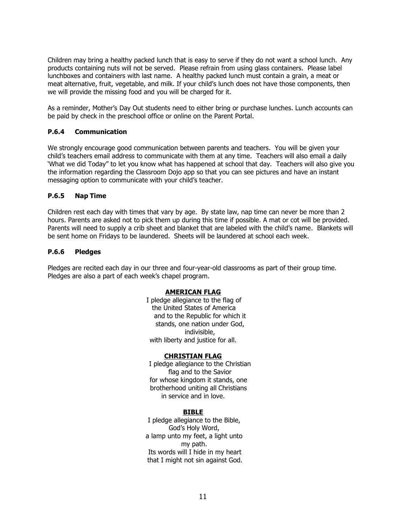Children may bring a healthy packed lunch that is easy to serve if they do not want a school lunch. Any products containing nuts will not be served. Please refrain from using glass containers. Please label lunchboxes and containers with last name. A healthy packed lunch must contain a grain, a meat or meat alternative, fruit, vegetable, and milk. If your child's lunch does not have those components, then we will provide the missing food and you will be charged for it.

As a reminder, Mother's Day Out students need to either bring or purchase lunches. Lunch accounts can be paid by check in the preschool office or online on the Parent Portal.

#### **P.6.4 Communication**

We strongly encourage good communication between parents and teachers. You will be given your child's teachers email address to communicate with them at any time. Teachers will also email a daily 'What we did Today" to let you know what has happened at school that day. Teachers will also give you the information regarding the Classroom Dojo app so that you can see pictures and have an instant messaging option to communicate with your child's teacher.

#### **P.6.5 Nap Time**

Children rest each day with times that vary by age. By state law, nap time can never be more than 2 hours. Parents are asked not to pick them up during this time if possible. A mat or cot will be provided. Parents will need to supply a crib sheet and blanket that are labeled with the child's name. Blankets will be sent home on Fridays to be laundered. Sheets will be laundered at school each week.

#### **P.6.6 Pledges**

Pledges are recited each day in our three and four-year-old classrooms as part of their group time. Pledges are also a part of each week's chapel program.

#### **AMERICAN FLAG**

I pledge allegiance to the flag of the United States of America and to the Republic for which it stands, one nation under God, indivisible, with liberty and justice for all.

#### **CHRISTIAN FLAG**

I pledge allegiance to the Christian flag and to the Savior for whose kingdom it stands, one brotherhood uniting all Christians in service and in love.

#### **BIBLE**

I pledge allegiance to the Bible, God's Holy Word, a lamp unto my feet, a light unto my path. Its words will I hide in my heart that I might not sin against God.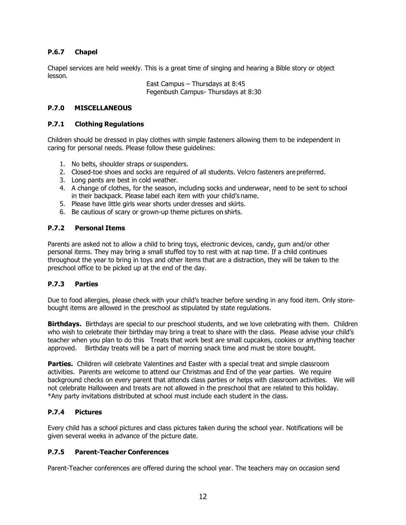#### **P.6.7 Chapel**

Chapel services are held weekly. This is a great time of singing and hearing a Bible story or object lesson.

> East Campus – Thursdays at 8:45 Fegenbush Campus- Thursdays at 8:30

#### **P.7.0 MISCELLANEOUS**

#### **P.7.1 Clothing Regulations**

Children should be dressed in play clothes with simple fasteners allowing them to be independent in caring for personal needs. Please follow these guidelines:

- 1. No belts, shoulder straps or suspenders.
- 2. Closed-toe shoes and socks are required of all students. Velcro fasteners are preferred.
- 3. Long pants are best in cold weather.
- 4. A change of clothes, for the season, including socks and underwear, need to be sent to school in their backpack. Please label each item with your child's name.
- 5. Please have little girls wear shorts under dresses and skirts.
- 6. Be cautious of scary or grown-up theme pictures on shirts.

#### **P.7.2 Personal Items**

Parents are asked not to allow a child to bring toys, electronic devices, candy, gum and/or other personal items. They may bring a small stuffed toy to rest with at nap time. If a child continues throughout the year to bring in toys and other items that are a distraction, they will be taken to the preschool office to be picked up at the end of the day.

#### **P.7.3 Parties**

Due to food allergies, please check with your child's teacher before sending in any food item. Only storebought items are allowed in the preschool as stipulated by state regulations.

**Birthdays.** Birthdays are special to our preschool students, and we love celebrating with them. Children who wish to celebrate their birthday may bring a treat to share with the class. Please advise your child's teacher when you plan to do this Treats that work best are small cupcakes, cookies or anything teacher approved. Birthday treats will be a part of morning snack time and must be store bought.

**Parties.** Children will celebrate Valentines and Easter with a special treat and simple classroom activities. Parents are welcome to attend our Christmas and End of the year parties. We require background checks on every parent that attends class parties or helps with classroom activities. We will not celebrate Halloween and treats are not allowed in the preschool that are related to this holiday. \*Any party invitations distributed at school must include each student in the class.

#### **P.7.4 Pictures**

Every child has a school pictures and class pictures taken during the school year. Notifications will be given several weeks in advance of the picture date.

#### **P.7.5 Parent-Teacher Conferences**

Parent-Teacher conferences are offered during the school year. The teachers may on occasion send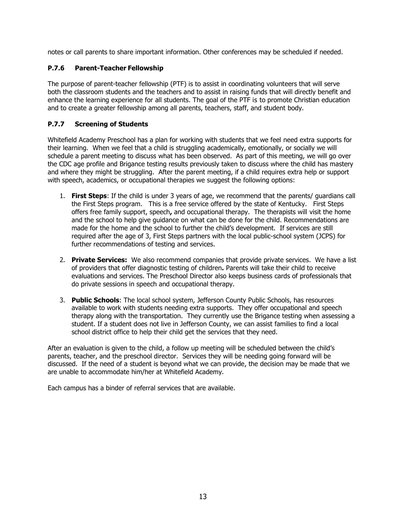notes or call parents to share important information. Other conferences may be scheduled if needed.

#### **P.7.6 Parent-Teacher Fellowship**

The purpose of parent-teacher fellowship (PTF) is to assist in coordinating volunteers that will serve both the classroom students and the teachers and to assist in raising funds that will directly benefit and enhance the learning experience for all students. The goal of the PTF is to promote Christian education and to create a greater fellowship among all parents, teachers, staff, and student body.

### **P.7.7 Screening of Students**

Whitefield Academy Preschool has a plan for working with students that we feel need extra supports for their learning. When we feel that a child is struggling academically, emotionally, or socially we will schedule a parent meeting to discuss what has been observed. As part of this meeting, we will go over the CDC age profile and Brigance testing results previously taken to discuss where the child has mastery and where they might be struggling. After the parent meeting, if a child requires extra help or support with speech, academics, or occupational therapies we suggest the following options:

- 1. **First Steps**: If the child is under 3 years of age, we recommend that the parents/ guardians call the First Steps program. This is a free service offered by the state of Kentucky. First Steps offers free family support, speech**,** and occupational therapy. The therapists will visit the home and the school to help give guidance on what can be done for the child. Recommendations are made for the home and the school to further the child's development. If services are still required after the age of 3, First Steps partners with the local public-school system (JCPS) for further recommendations of testing and services.
- 2. **Private Services:** We also recommend companies that provide private services. We have a list of providers that offer diagnostic testing of children**.** Parents will take their child to receive evaluations and services. The Preschool Director also keeps business cards of professionals that do private sessions in speech and occupational therapy.
- 3. **Public Schools**: The local school system, Jefferson County Public Schools, has resources available to work with students needing extra supports. They offer occupational and speech therapy along with the transportation. They currently use the Brigance testing when assessing a student. If a student does not live in Jefferson County, we can assist families to find a local school district office to help their child get the services that they need.

After an evaluation is given to the child, a follow up meeting will be scheduled between the child's parents, teacher, and the preschool director. Services they will be needing going forward will be discussed. If the need of a student is beyond what we can provide, the decision may be made that we are unable to accommodate him/her at Whitefield Academy.

Each campus has a binder of referral services that are available.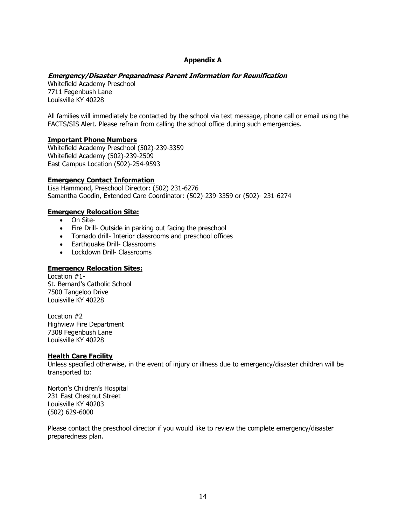#### **Appendix A**

#### **Emergency/Disaster Preparedness Parent Information for Reunification**

Whitefield Academy Preschool 7711 Fegenbush Lane Louisville KY 40228

All families will immediately be contacted by the school via text message, phone call or email using the FACTS/SIS Alert. Please refrain from calling the school office during such emergencies.

#### **Important Phone Numbers**

Whitefield Academy Preschool (502)-239-3359 Whitefield Academy (502)-239-2509 East Campus Location (502)-254-9593

#### **Emergency Contact Information**

Lisa Hammond, Preschool Director: (502) 231-6276 Samantha Goodin, Extended Care Coordinator: (502)-239-3359 or (502)- 231-6274

#### **Emergency Relocation Site:**

- On Site-
- Fire Drill- Outside in parking out facing the preschool
- Tornado drill- Interior classrooms and preschool offices
- Earthquake Drill- Classrooms
- Lockdown Drill- Classrooms

#### **Emergency Relocation Sites:**

Location #1- St. Bernard's Catholic School 7500 Tangeloo Drive Louisville KY 40228

Location #2 Highview Fire Department 7308 Fegenbush Lane Louisville KY 40228

#### **Health Care Facility**

Unless specified otherwise, in the event of injury or illness due to emergency/disaster children will be transported to:

Norton's Children's Hospital 231 East Chestnut Street Louisville KY 40203 (502) 629-6000

Please contact the preschool director if you would like to review the complete emergency/disaster preparedness plan.